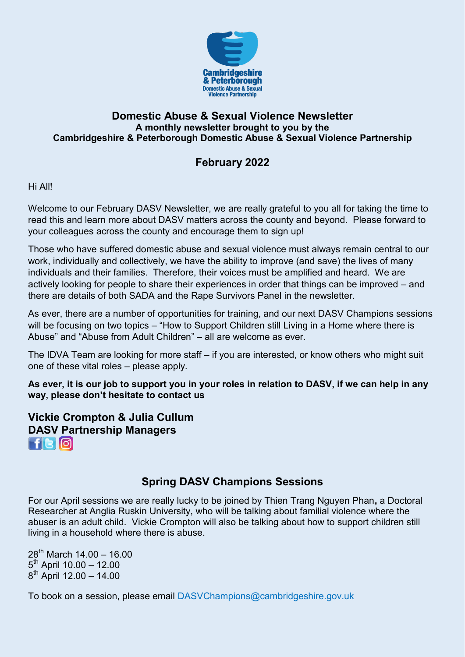

### **Domestic Abuse & Sexual Violence Newsletter A monthly newsletter brought to you by the Cambridgeshire & Peterborough Domestic Abuse & Sexual Violence Partnership**

# **February 2022**

Hi All!

Welcome to our February DASV Newsletter, we are really grateful to you all for taking the time to read this and learn more about DASV matters across the county and beyond. Please forward to your colleagues across the county and encourage them to sign up!

Those who have suffered domestic abuse and sexual violence must always remain central to our work, individually and collectively, we have the ability to improve (and save) the lives of many individuals and their families. Therefore, their voices must be amplified and heard. We are actively looking for people to share their experiences in order that things can be improved – and there are details of both SADA and the Rape Survivors Panel in the newsletter.

As ever, there are a number of opportunities for training, and our next DASV Champions sessions will be focusing on two topics – "How to Support Children still Living in a Home where there is Abuse" and "Abuse from Adult Children" – all are welcome as ever.

The IDVA Team are looking for more staff – if you are interested, or know others who might suit one of these vital roles – please apply.

**As ever, it is our job to support you in your roles in relation to DASV, if we can help in any way, please don't hesitate to contact us**

**Vickie Crompton & Julia Cullum [DA](https://www.facebook.com/CambridgeshireDASV/)[SV](https://twitter.com/Cambs_DASV) [Pa](https://www.instagram.com/cambsdasv/)rtnership Managers**   $H$ c $\omega$ 

# **Spring DASV Champions Sessions**

For our April sessions we are really lucky to be joined by Thien Trang Nguyen Phan**,** a Doctoral Researcher at Anglia Ruskin University, who will be talking about familial violence where the abuser is an adult child. Vickie Crompton will also be talking about how to support children still living in a household where there is abuse.

 $28^{th}$  March 14.00 – 16.00  $5<sup>th</sup>$  April 10.00 – 12.00 8<sup>th</sup> April 12.00 - 14.00

To book on a session, please email [DASVChampions@cambridgeshire.gov.uk](mailto:DASVChampions@cambridgeshire.gov.uk)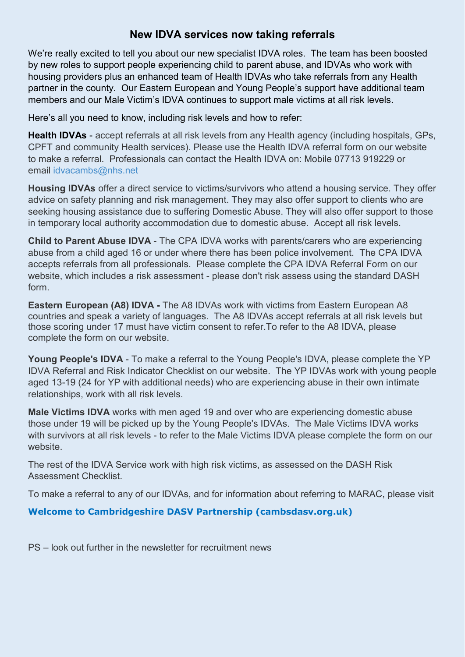## **New IDVA services now taking referrals**

We're really excited to tell you about our new specialist IDVA roles. The team has been boosted by new roles to support people experiencing child to parent abuse, and IDVAs who work with housing providers plus an enhanced team of Health IDVAs who take referrals from any Health partner in the county. Our Eastern European and Young People's support have additional team members and our Male Victim's IDVA continues to support male victims at all risk levels.

Here's all you need to know, including risk levels and how to refer:

**Health IDVAs** - accept referrals at all risk levels from any Health agency (including hospitals, GPs, CPFT and community Health services). Please use the Health IDVA referral form on our website to make a referral. Professionals can contact the Health IDVA on: Mobile 07713 919229 or email [idvacambs@nhs.net](mailto:idvacambs@nhs.net)

**Housing IDVAs** offer a direct service to victims/survivors who attend a housing service. They offer advice on safety planning and risk management. They may also offer support to clients who are seeking housing assistance due to suffering Domestic Abuse. They will also offer support to those in temporary local authority accommodation due to domestic abuse. Accept all risk levels.

**Child to Parent Abuse IDVA** - The CPA IDVA works with parents/carers who are experiencing abuse from a child aged 16 or under where there has been police involvement. The CPA IDVA accepts referrals from all professionals. Please complete the CPA IDVA Referral Form on our website, which includes a risk assessment - please don't risk assess using the standard DASH form.

**Eastern European (A8) IDVA -** The A8 IDVAs work with victims from Eastern European A8 countries and speak a variety of languages. The A8 IDVAs accept referrals at all risk levels but those scoring under 17 must have victim consent to refer.To refer to the A8 IDVA, please complete the form on our website.

**Young People's IDVA** - To make a referral to the Young People's IDVA, please complete the YP IDVA Referral and Risk Indicator Checklist on our website. The YP IDVAs work with young people aged 13-19 (24 for YP with additional needs) who are experiencing abuse in their own intimate relationships, work with all risk levels.

**Male Victims IDVA** works with men aged 19 and over who are experiencing domestic abuse those under 19 will be picked up by the Young People's IDVAs. The Male Victims IDVA works with survivors at all risk levels - to refer to the Male Victims IDVA please complete the form on our website.

The rest of the IDVA Service work with high risk victims, as assessed on the DASH Risk Assessment Checklist.

To make a referral to any of our IDVAs, and for information about referring to MARAC, please visit

#### **[Welcome to Cambridgeshire DASV Partnership \(cambsdasv.org.uk\)](https://www.cambsdasv.org.uk/website/referral_forms/593292)**

PS – look out further in the newsletter for recruitment news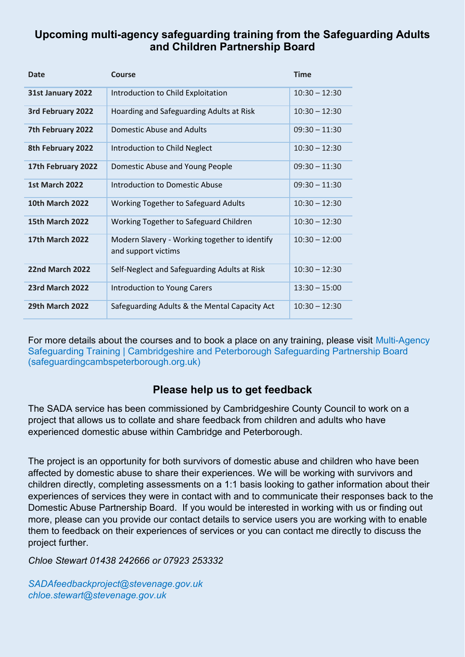## **Upcoming multi-agency safeguarding training from the Safeguarding Adults and Children Partnership Board**

| <b>Date</b>            | Course                                                               | <b>Time</b>     |
|------------------------|----------------------------------------------------------------------|-----------------|
| 31st January 2022      | Introduction to Child Exploitation                                   | $10:30 - 12:30$ |
| 3rd February 2022      | Hoarding and Safeguarding Adults at Risk                             | $10:30 - 12:30$ |
| 7th February 2022      | Domestic Abuse and Adults                                            | $09:30 - 11:30$ |
| 8th February 2022      | Introduction to Child Neglect                                        | $10:30 - 12:30$ |
| 17th February 2022     | Domestic Abuse and Young People                                      | $09:30 - 11:30$ |
| <b>1st March 2022</b>  | Introduction to Domestic Abuse                                       | $09:30 - 11:30$ |
| <b>10th March 2022</b> | Working Together to Safeguard Adults                                 | $10:30 - 12:30$ |
| <b>15th March 2022</b> | Working Together to Safeguard Children                               | $10:30 - 12:30$ |
| <b>17th March 2022</b> | Modern Slavery - Working together to identify<br>and support victims | $10:30 - 12:00$ |
| <b>22nd March 2022</b> | Self-Neglect and Safeguarding Adults at Risk                         | $10:30 - 12:30$ |
| <b>23rd March 2022</b> | Introduction to Young Carers                                         | $13:30 - 15:00$ |
| <b>29th March 2022</b> | Safeguarding Adults & the Mental Capacity Act                        | $10:30 - 12:30$ |

For more details about the courses and to book a place on any training, please visit [Multi-Agency](https://www.safeguardingcambspeterborough.org.uk/home/availabletraining/)  [Safeguarding Training | Cambridgeshire and Peterborough Safeguarding Partnership Board](https://www.safeguardingcambspeterborough.org.uk/home/availabletraining/)  [\(safeguardingcambspeterborough.org.uk\)](https://www.safeguardingcambspeterborough.org.uk/home/availabletraining/)

## **Please help us to get feedback**

The SADA service has been commissioned by Cambridgeshire County Council to work on a project that allows us to collate and share feedback from children and adults who have experienced domestic abuse within Cambridge and Peterborough.

The project is an opportunity for both survivors of domestic abuse and children who have been affected by domestic abuse to share their experiences. We will be working with survivors and children directly, completing assessments on a 1:1 basis looking to gather information about their experiences of services they were in contact with and to communicate their responses back to the Domestic Abuse Partnership Board. If you would be interested in working with us or finding out more, please can you provide our contact details to service users you are working with to enable them to feedback on their experiences of services or you can contact me directly to discuss the project further.

*Chloe Stewart 01438 242666 or 07923 253332* 

*[SADAfeedbackproject@stevenage.gov.uk](mailto:SADAfeedbackproject@stevenage.gov.uk)  [chloe.stewart@stevenage.gov.uk](mailto:chloe.stewart@stevenage.gov.uk)*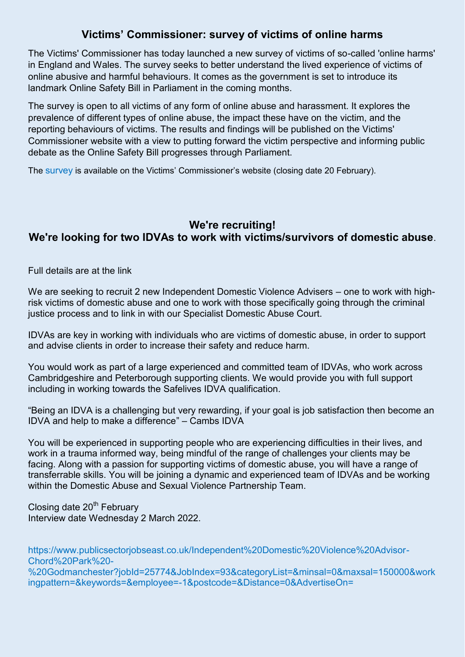## **Victims' Commissioner: survey of victims of online harms**

The Victims' Commissioner has today launched a new survey of victims of so-called 'online harms' in England and Wales. The survey seeks to better understand the lived experience of victims of online abusive and harmful behaviours. It comes as the government is set to introduce its landmark Online Safety Bill in Parliament in the coming months.

The survey is open to all victims of any form of online abuse and harassment. It explores the prevalence of different types of online abuse, the impact these have on the victim, and the reporting behaviours of victims. The results and findings will be published on the Victims' Commissioner website with a view to putting forward the victim perspective and informing public debate as the Online Safety Bill progresses through Parliament.

The [survey](https://gbr01.safelinks.protection.outlook.com/?url=https%3A%2F%2Fvictimscommissioner.org.uk%2Fhome%2Fsurvey-online-harms%2F&data=04%7C01%7Cnicky.phillipson%40cambs.police.uk%7C950dd76b97ce4c128c2408d9dbf6ba87%7Ca3c59d1bb8f142999d6a39ad8f570422%7C0%7C0%7C637782675020482754%7CUnknown%7CTWFpbGZsb3d8eyJWIjoiMC4wLjAwMDAiLCJQIjoiV2luMzIiLCJBTiI6Ik1haWwiLCJXVCI6Mn0%3D%7C3000&sdata=2s46GdYl%2BQbzGwC2e0rpmtl%2BcqjGiyy0IDdDDkcjUMg%3D&reserved=0) is available on the Victims' Commissioner's website (closing date 20 February).

# **We're recruiting! We're looking for two IDVAs to work with victims/survivors of domestic abuse**.

Full details are at the link

We are seeking to recruit 2 new Independent Domestic Violence Advisers – one to work with highrisk victims of domestic abuse and one to work with those specifically going through the criminal justice process and to link in with our Specialist Domestic Abuse Court.

IDVAs are key in working with individuals who are victims of domestic abuse, in order to support and advise clients in order to increase their safety and reduce harm.

You would work as part of a large experienced and committed team of IDVAs, who work across Cambridgeshire and Peterborough supporting clients. We would provide you with full support including in working towards the Safelives IDVA qualification.

"Being an IDVA is a challenging but very rewarding, if your goal is job satisfaction then become an IDVA and help to make a difference" – Cambs IDVA

You will be experienced in supporting people who are experiencing difficulties in their lives, and work in a trauma informed way, being mindful of the range of challenges your clients may be facing. Along with a passion for supporting victims of domestic abuse, you will have a range of transferrable skills. You will be joining a dynamic and experienced team of IDVAs and be working within the Domestic Abuse and Sexual Violence Partnership Team.

Closing date  $20<sup>th</sup>$  February Interview date Wednesday 2 March 2022.

[https://www.publicsectorjobseast.co.uk/Independent%20Domestic%20Violence%20Advisor-](https://www.publicsectorjobseast.co.uk/Independent%20Domestic%20Violence%20Advisor-Chord%20Park%20-%20Godmanchester?jobId=25774&JobIndex=93&categoryList=&minsal=0&maxsal=150000&workingpattern=&keywords=&employee=-1&postcode=&Distance=0&AdvertiseOn=)[Chord%20Park%20-](https://www.publicsectorjobseast.co.uk/Independent%20Domestic%20Violence%20Advisor-Chord%20Park%20-%20Godmanchester?jobId=25774&JobIndex=93&categoryList=&minsal=0&maxsal=150000&workingpattern=&keywords=&employee=-1&postcode=&Distance=0&AdvertiseOn=) [%20Godmanchester?jobId=25774&JobIndex=93&categoryList=&minsal=0&maxsal=150000&work](https://www.publicsectorjobseast.co.uk/Independent%20Domestic%20Violence%20Advisor-Chord%20Park%20-%20Godmanchester?jobId=25774&JobIndex=93&categoryList=&minsal=0&maxsal=150000&workingpattern=&keywords=&employee=-1&postcode=&Distance=0&AdvertiseOn=) [ingpattern=&keywords=&employee=-1&postcode=&Distance=0&AdvertiseOn=](https://www.publicsectorjobseast.co.uk/Independent%20Domestic%20Violence%20Advisor-Chord%20Park%20-%20Godmanchester?jobId=25774&JobIndex=93&categoryList=&minsal=0&maxsal=150000&workingpattern=&keywords=&employee=-1&postcode=&Distance=0&AdvertiseOn=)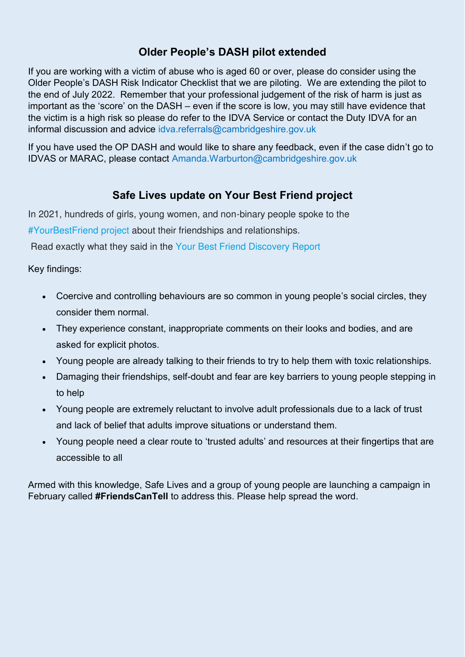# **Older People's DASH pilot extended**

If you are working with a victim of abuse who is aged 60 or over, please do consider using the Older People's DASH Risk Indicator Checklist that we are piloting. We are extending the pilot to the end of July 2022. Remember that your professional judgement of the risk of harm is just as important as the 'score' on the DASH – even if the score is low, you may still have evidence that the victim is a high risk so please do refer to the IDVA Service or contact the Duty IDVA for an informal discussion and advice [idva.referrals@cambridgeshire.gov.uk](mailto:idva.referrals@cambridgeshire.gov.uk)

If you have used the OP DASH and would like to share any feedback, even if the case didn't go to IDVAS or MARAC, please contact [Amanda.Warburton@cambridgeshire.gov.uk](mailto:Amanda.Warburton@cambridgeshire.gov.uk) 

# **Safe Lives update on Your Best Friend project**

In 2021, hundreds of girls, young women, and non-binary people spoke to the [#YourBestFriend project](https://safelives.us2.list-manage.com/track/click?u=8f7543ea1e57479bc3057569c&id=ca5a1b848e&e=36b2d617e2) about their friendships and relationships.

Read exactly what they said in the [Your Best Friend Discovery Report](https://safelives.us2.list-manage.com/track/click?u=8f7543ea1e57479bc3057569c&id=12e09c98a1&e=36b2d617e2) 

Key findings:

- Coercive and controlling behaviours are so common in young people's social circles, they consider them normal.
- They experience constant, inappropriate comments on their looks and bodies, and are asked for explicit photos.
- Young people are already talking to their friends to try to help them with toxic relationships.
- Damaging their friendships, self-doubt and fear are key barriers to young people stepping in to help
- Young people are extremely reluctant to involve adult professionals due to a lack of trust and lack of belief that adults improve situations or understand them.
- Young people need a clear route to 'trusted adults' and resources at their fingertips that are accessible to all

Armed with this knowledge, Safe Lives and a group of young people are launching a campaign in February called **#FriendsCanTell** to address this. Please help spread the word.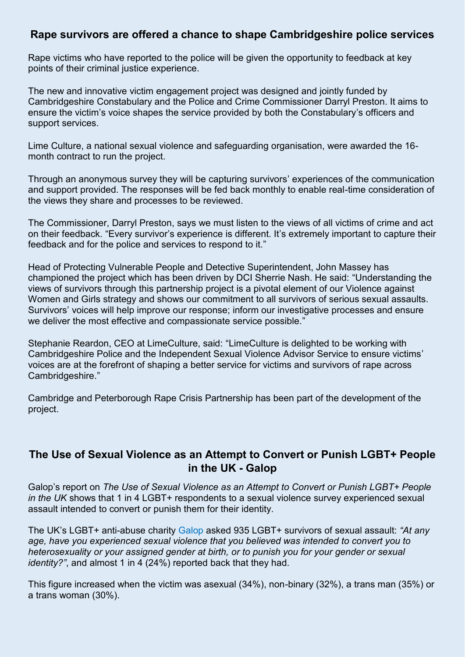### **Rape survivors are offered a chance to shape Cambridgeshire police services**

Rape victims who have reported to the police will be given the opportunity to feedback at key points of their criminal justice experience.

The new and innovative victim engagement project was designed and jointly funded by Cambridgeshire Constabulary and the Police and Crime Commissioner Darryl Preston. It aims to ensure the victim's voice shapes the service provided by both the Constabulary's officers and support services.

Lime Culture, a national sexual violence and safeguarding organisation, were awarded the 16 month contract to run the project.

Through an anonymous survey they will be capturing survivors' experiences of the communication and support provided. The responses will be fed back monthly to enable real-time consideration of the views they share and processes to be reviewed.

The Commissioner, Darryl Preston, says we must listen to the views of all victims of crime and act on their feedback. "Every survivor's experience is different. It's extremely important to capture their feedback and for the police and services to respond to it."

Head of Protecting Vulnerable People and Detective Superintendent, John Massey has championed the project which has been driven by DCI Sherrie Nash. He said: "Understanding the views of survivors through this partnership project is a pivotal element of our Violence against Women and Girls strategy and shows our commitment to all survivors of serious sexual assaults. Survivors' voices will help improve our response; inform our investigative processes and ensure we deliver the most effective and compassionate service possible."

Stephanie Reardon, CEO at LimeCulture, said: "LimeCulture is delighted to be working with Cambridgeshire Police and the Independent Sexual Violence Advisor Service to ensure victims' voices are at the forefront of shaping a better service for victims and survivors of rape across Cambridgeshire."

Cambridge and Peterborough Rape Crisis Partnership has been part of the development of the project.

### **[The Use of Sexual Violence as an Attempt to Convert or Punish LGBT+ People](https://galop.org.uk/resource/the-use-of-sexual-violence-as-an-attempt-to-convert-or-punish-lgbt-people-in-the-uk/)  [in the UK - Galop](https://galop.org.uk/resource/the-use-of-sexual-violence-as-an-attempt-to-convert-or-punish-lgbt-people-in-the-uk/)**

Galop's report on *The Use of Sexual Violence as an Attempt to Convert or Punish LGBT+ People in the UK* shows that 1 in 4 LGBT+ respondents to a sexual violence survey experienced sexual assault intended to convert or punish them for their identity.

The UK's LGBT+ anti-abuse charity [Galop](https://galop.org.uk/) asked 935 LGBT+ survivors of sexual assault: *"At any age, have you experienced sexual violence that you believed was intended to convert you to heterosexuality or your assigned gender at birth, or to punish you for your gender or sexual identity?"*, and almost 1 in 4 (24%) reported back that they had.

This figure increased when the victim was asexual (34%), non-binary (32%), a trans man (35%) or a trans woman (30%).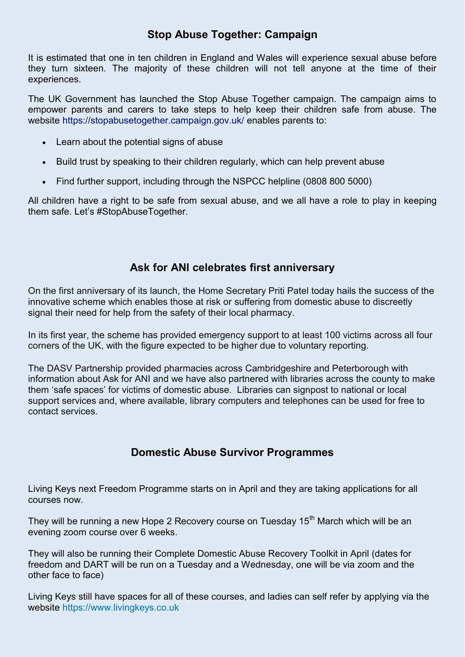## **Stop Abuse Together: Campaign**

It is estimated that one in ten children in England and Wales will experience sexual abuse before they turn sixteen. The majority of these children will not tell anyone at the time of their experiences.

The UK Government has launched the Stop Abuse Together campaign. The campaign aims to empower parents and carers to take steps to help keep their children safe from abuse. The website [https://stopabusetogether.campaign.gov.uk/](https://lnks.gd/l/eyJhbGciOiJIUzI1NiJ9.eyJidWxsZXRpbl9saW5rX2lkIjoxMTgsInVyaSI6ImJwMjpjbGljayIsImJ1bGxldGluX2lkIjoiMjAyMjAyMDIuNTI3NjQ3MDEiLCJ1cmwiOiJodHRwczovL3N0b3BhYnVzZXRvZ2V0aGVyLmNhbXBhaWduLmdvdi51ay8_dXRtX21lZGl1bT1lbWFpbCZ1dG1fc291cmNlPWdvdmRlbGl2ZXJ5In0.N9s_aiHTimJac594yM6_tD0U3-hnbjM4YxrmFkDKIBo/s/908410810/br/126007635528-l) enables parents to:

- Learn about the potential signs of abuse
- Build trust by speaking to their children regularly, which can help prevent abuse
- Find further support, including through the NSPCC helpline (0808 800 5000)

All children have a right to be safe from sexual abuse, and we all have a role to play in keeping them safe. Let's #StopAbuseTogether.

## **Ask for ANI celebrates first anniversary**

On the first anniversary of its launch, the Home Secretary Priti Patel today hails the success of the innovative scheme which enables those at risk or suffering from domestic abuse to discreetly signal their need for help from the safety of their local pharmacy.

In its first year, the scheme has provided emergency support to at least 100 victims across all four corners of the UK, with the figure expected to be higher due to voluntary reporting.

The DASV Partnership provided pharmacies across Cambridgeshire and Peterborough with information about Ask for ANI and we have also partnered with libraries across the county to make them 'safe spaces' for victims of domestic abuse. Libraries can signpost to national or local support services and, where available, library computers and telephones can be used for free to contact services.

## **Domestic Abuse Survivor Programmes**

Living Keys next Freedom Programme starts on in April and they are taking applications for all courses now.

They will be running a new Hope 2 Recovery course on Tuesday 15<sup>th</sup> March which will be an evening zoom course over 6 weeks.

They will also be running their Complete Domestic Abuse Recovery Toolkit in April (dates for freedom and DART will be run on a Tuesday and a Wednesday, one will be via zoom and the other face to face)

Living Keys still have spaces for all of these courses, and ladies can self refer by applying via the website [https://www.livingkeys.co.uk](https://hes32-ctp.trendmicro.com/wis/clicktime/v1/query?url=https%3a%2f%2fwww.livingkeys.co.uk&umid=6e92031f-fb92-4bca-8d89-9e26dc41cabf&auth=73bef1691750f88fd854efaaa37c6473a4e78491-d76b8d8f848ca232d942e439cd95c045cdfd4f70)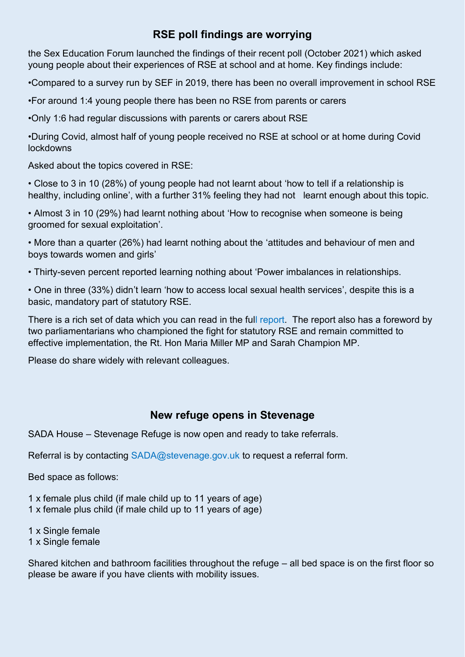# **RSE poll findings are worrying**

the Sex Education Forum launched the findings of their recent poll (October 2021) which asked young people about their experiences of RSE at school and at home. Key findings include:

•Compared to a survey run by SEF in 2019, there has been no overall improvement in school RSE

•For around 1:4 young people there has been no RSE from parents or carers

•Only 1:6 had regular discussions with parents or carers about RSE

•During Covid, almost half of young people received no RSE at school or at home during Covid lockdowns

Asked about the topics covered in RSE:

• Close to 3 in 10 (28%) of young people had not learnt about 'how to tell if a relationship is healthy, including online', with a further 31% feeling they had not learnt enough about this topic.

• Almost 3 in 10 (29%) had learnt nothing about 'How to recognise when someone is being groomed for sexual exploitation'.

• More than a quarter (26%) had learnt nothing about the 'attitudes and behaviour of men and boys towards women and girls'

• Thirty-seven percent reported learning nothing about 'Power imbalances in relationships.

• One in three (33%) didn't learn 'how to access local sexual health services', despite this is a basic, mandatory part of statutory RSE.

There is a rich set of data which you can read in the full [report.](https://www.sexeducationforum.org.uk/resources/evidence/young-peoples-rse-poll-2021) The report also has a foreword by two parliamentarians who championed the fight for statutory RSE and remain committed to effective implementation, the Rt. Hon Maria Miller MP and Sarah Champion MP.

Please do share widely with relevant colleagues.

### **New refuge opens in Stevenage**

SADA House – Stevenage Refuge is now open and ready to take referrals.

Referral is by contacting [SADA@stevenage.gov.uk](mailto:SADA@stevenage.gov.uk) to request a referral form.

Bed space as follows:

1 x female plus child (if male child up to 11 years of age) 1 x female plus child (if male child up to 11 years of age)

1 x Single female 1 x Single female

Shared kitchen and bathroom facilities throughout the refuge – all bed space is on the first floor so please be aware if you have clients with mobility issues.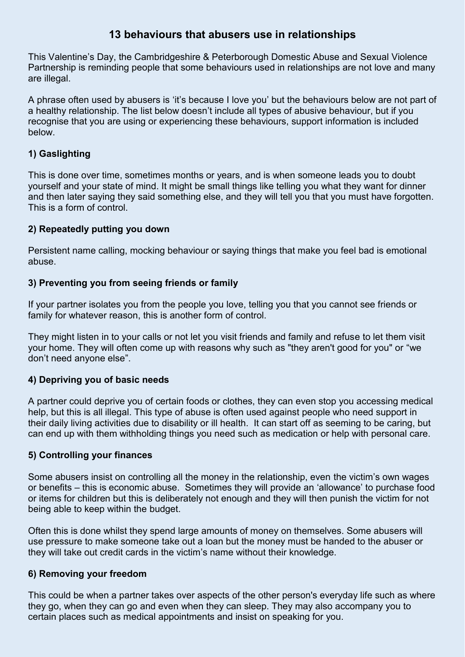## **13 behaviours that abusers use in relationships**

This Valentine's Day, the Cambridgeshire & Peterborough Domestic Abuse and Sexual Violence Partnership is reminding people that some behaviours used in relationships are not love and many are illegal.

A phrase often used by abusers is 'it's because I love you' but the behaviours below are not part of a healthy relationship. The list below doesn't include all types of abusive behaviour, but if you recognise that you are using or experiencing these behaviours, support information is included below.

### **1) Gaslighting**

This is done over time, sometimes months or years, and is when someone leads you to doubt yourself and your state of mind. It might be small things like telling you what they want for dinner and then later saying they said something else, and they will tell you that you must have forgotten. This is a form of control.

### **2) Repeatedly putting you down**

Persistent name calling, mocking behaviour or saying things that make you feel bad is emotional abuse.

### **3) Preventing you from seeing friends or family**

If your partner isolates you from the people you love, telling you that you cannot see friends or family for whatever reason, this is another form of control.

They might listen in to your calls or not let you visit friends and family and refuse to let them visit your home. They will often come up with reasons why such as "they aren't good for you" or "we don't need anyone else".

#### **4) Depriving you of basic needs**

A partner could deprive you of certain foods or clothes, they can even stop you accessing medical help, but this is all illegal. This type of abuse is often used against people who need support in their daily living activities due to disability or ill health. It can start off as seeming to be caring, but can end up with them withholding things you need such as medication or help with personal care.

#### **5) Controlling your finances**

Some abusers insist on controlling all the money in the relationship, even the victim's own wages or benefits – this is economic abuse. Sometimes they will provide an 'allowance' to purchase food or items for children but this is deliberately not enough and they will then punish the victim for not being able to keep within the budget.

Often this is done whilst they spend large amounts of money on themselves. Some abusers will use pressure to make someone take out a loan but the money must be handed to the abuser or they will take out credit cards in the victim's name without their knowledge.

#### **6) Removing your freedom**

This could be when a partner takes over aspects of the other person's everyday life such as where they go, when they can go and even when they can sleep. They may also accompany you to certain places such as medical appointments and insist on speaking for you.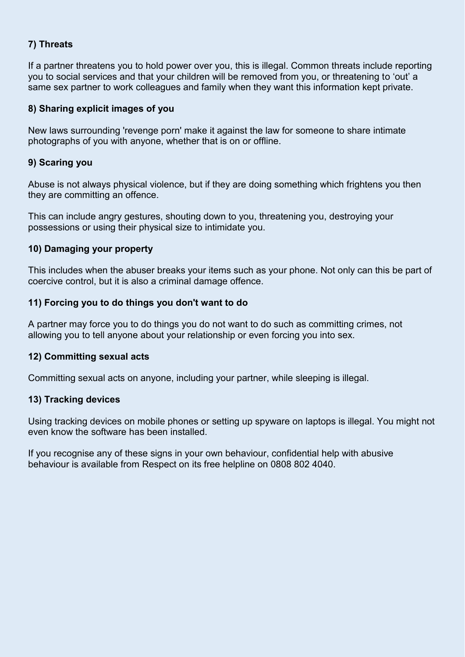### **7) Threats**

If a partner threatens you to hold power over you, this is illegal. Common threats include reporting you to social services and that your children will be removed from you, or threatening to 'out' a same sex partner to work colleagues and family when they want this information kept private.

#### **8) Sharing explicit images of you**

New laws surrounding 'revenge porn' make it against the law for someone to share intimate photographs of you with anyone, whether that is on or offline.

#### **9) Scaring you**

Abuse is not always physical violence, but if they are doing something which frightens you then they are committing an offence.

This can include angry gestures, shouting down to you, threatening you, destroying your possessions or using their physical size to intimidate you.

#### **10) Damaging your property**

This includes when the abuser breaks your items such as your phone. Not only can this be part of coercive control, but it is also a criminal damage offence.

#### **11) Forcing you to do things you don't want to do**

A partner may force you to do things you do not want to do such as committing crimes, not allowing you to tell anyone about your relationship or even forcing you into sex.

#### **12) Committing sexual acts**

Committing sexual acts on anyone, including your partner, while sleeping is illegal.

#### **13) Tracking devices**

Using tracking devices on mobile phones or setting up spyware on laptops is illegal. You might not even know the software has been installed.

If you recognise any of these signs in your own behaviour, confidential help with abusive behaviour is available from Respect on its free helpline on 0808 802 4040.